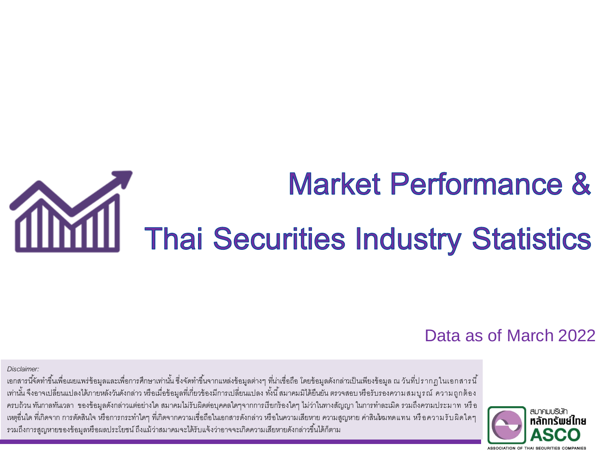# **Market Performance &** Thai Securities Industry Statistics

#### Data as of March 2022

#### *Disclaimer:*

่ เอกสารนี้จัดทำขึ้นเพื่อเผยแพร่ข้อมูลและเพื่อการศึกษาเท่านั้น ซึ่งจัดทำขึ้นจากแหล่งข้อมูลต่างๆ ที่น่าเชื่อถือ โดยข้อมูลดังกล่าวเป็นเพียงข้อมูล ณ วันที่ปรากฏ ในเอกสารนี้ ่ เท่านั้น จึงอาจเปลี่ยนแปลงได้ภายหลังวันดังกล่าว หรือเมื่อข้อมูลที่เกี่ยวข้องมีการเปลี่ยนแปลง ทั้งนี้ สมาคมมิได้ยืนยัน ตรวจสอบ หรือรับรองความ สม บูรณ์ ความ ถูกต้อง ครบถ้วน ทันกาลทันเวลา ของข้อมูลดังกล่าวแต่อย่างใด สมาคมไม่รับผิดต่อบุคคลใดๆจากการเรียกร้องใดๆ ไม่ว่าในทางสัญญา ในการทำละเมิด รวมถึงความประมาท หรือ ่ เหตุอื่นใด ที่เกิดจาก การตัดสินใจ หรือการกระทำใดๆ ที่เกิดจากความเชื่อถือในเอกสารดังกล่าว หรือในความสูญหาย ค่าสนใหมทดแทน หรือความรับผิดใดๆ รวมถึงการสูญหายของข้อมูลหรือผลประโยชน์ ถึงแม้ว่าสมาคมจะได้รับแจ้งว่าอาจจะเกิดความเสียหายดังกล่าวขึ้นได้ก็ตาม

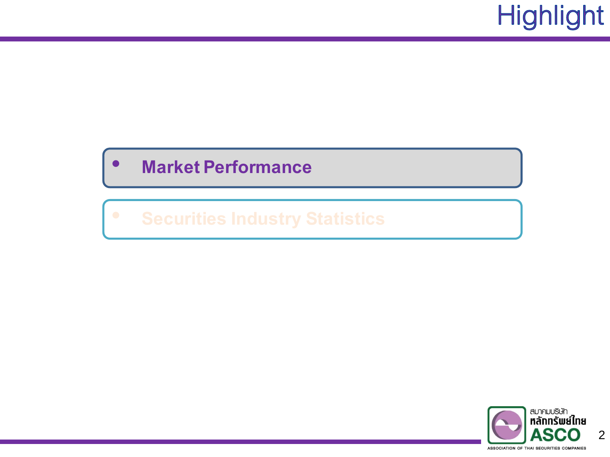# **Highlight**

#### • **Market Performance**

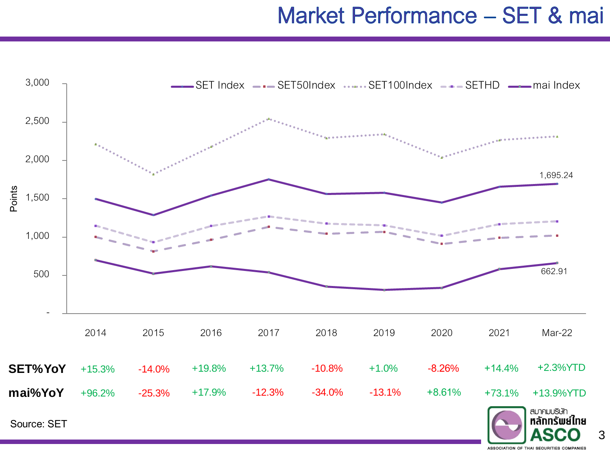#### Market Performance - SET & mai



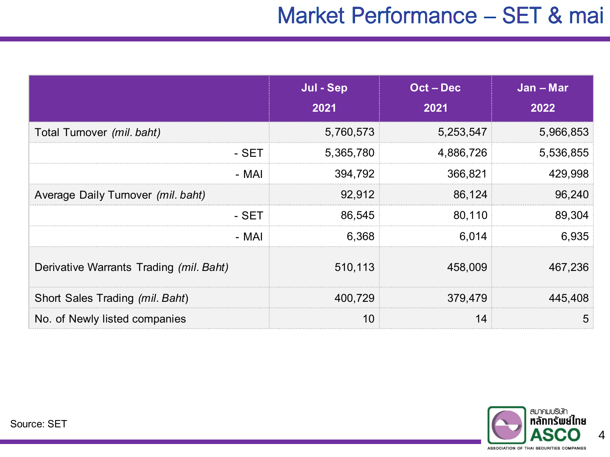### Market Performance - SET & mai

|                                         | Jul - Sep<br>2021 | $Oct - Dec$<br>2021 | Jan - Mar<br>2022 |
|-----------------------------------------|-------------------|---------------------|-------------------|
| Total Turnover (mil. baht)              | 5,760,573         | 5,253,547           | 5,966,853         |
| $-$ SET                                 | 5,365,780         | 4,886,726           | 5,536,855         |
| - MAI                                   | 394,792           | 366,821             | 429,998           |
| Average Daily Turnover (mil. baht)      | 92,912            | 86,124              | 96,240            |
| - SET                                   | 86,545            | 80,110              | 89,304            |
| - MAI                                   | 6,368             | 6,014               | 6,935             |
| Derivative Warrants Trading (mil. Baht) | 510,113           | 458,009             | 467,236           |
| Short Sales Trading (mil. Baht)         | 400,729           | 379,479             | 445,408           |
| No. of Newly listed companies           | 10                | 14                  | 5                 |

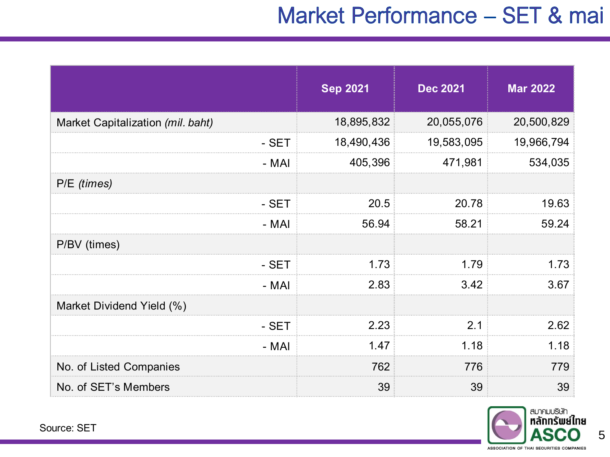### Market Performance - SET & mai

|                                   | <b>Sep 2021</b> | <b>Dec 2021</b> | <b>Mar 2022</b> |
|-----------------------------------|-----------------|-----------------|-----------------|
| Market Capitalization (mil. baht) | 18,895,832      | 20,055,076      | 20,500,829      |
| - SET                             | 18,490,436      | 19,583,095      | 19,966,794      |
| - MAI                             | 405,396         | 471,981         | 534,035         |
| P/E (times)                       |                 |                 |                 |
| - SET                             | 20.5            | 20.78           | 19.63           |
| - MAI                             | 56.94           | 58.21           | 59.24           |
| P/BV (times)                      |                 |                 |                 |
| - SET                             | 1.73            | 1.79            | 1.73            |
| - MAI                             | 2.83            | 3.42            | 3.67            |
| Market Dividend Yield (%)         |                 |                 |                 |
| - SET                             | 2.23            | 2.1             | 2.62            |
| - MAI                             | 1.47            | 1.18            | 1.18            |
| No. of Listed Companies           | 762             | 776             | 779             |
| No. of SET's Members              | 39              | 39              | 39              |



5

Source: SET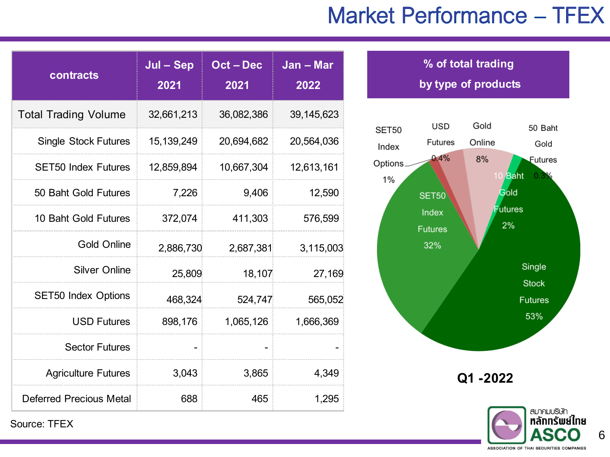### **Market Performance - TFEX**

| contracts                      | Jul - Sep<br>2021 | Oct-Dec<br>2021 | $Jan - Mar$<br>2022 |
|--------------------------------|-------------------|-----------------|---------------------|
| <b>Total Trading Volume</b>    | 32,661,213        | 36,082,386      | 39,145,623          |
| <b>Single Stock Futures</b>    | 15, 139, 249      | 20,694,682      | 20,564,036          |
| <b>SET50 Index Futures</b>     | 12,859,894        | 10,667,304      | 12,613,161          |
| 50 Baht Gold Futures           | 7,226             | 9,406           | 12,590              |
| 10 Baht Gold Futures           | 372,074           | 411,303         | 576,599             |
| <b>Gold Online</b>             | 2,886,730         | 2,687,381       | 3,115,003           |
| <b>Silver Online</b>           | 25,809            | 18,107          | 27,169              |
| <b>SET50 Index Options</b>     | 468,324           | 524,747         | 565,052             |
| <b>USD Futures</b>             | 898,176           | 1,065,126       | 1,666,369           |
| <b>Sector Futures</b>          |                   |                 |                     |
| <b>Agriculture Futures</b>     | 3,043             | 3,865           | 4,349               |
| <b>Deferred Precious Metal</b> | 688               | 465             | 1,295               |





Source: TFEX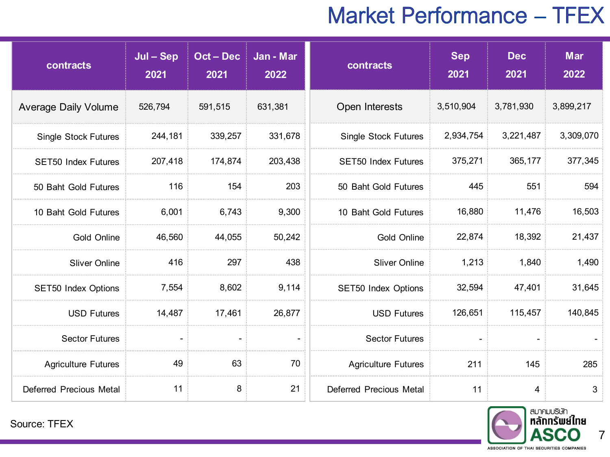### **Market Performance - TFEX**

| contracts                   | $Jul - Sep$<br>2021 | Oct - Dec<br>2021 | Jan - Mar<br>2022 | contracts                   | <b>Sep</b><br>2021 | <b>Dec</b><br>2021 | <b>Mar</b><br>2022 |
|-----------------------------|---------------------|-------------------|-------------------|-----------------------------|--------------------|--------------------|--------------------|
| <b>Average Daily Volume</b> | 526,794             | 591,515           | 631,381           | Open Interests              | 3,510,904          | 3,781,930          | 3,899,217          |
| <b>Single Stock Futures</b> | 244,181             | 339,257           | 331,678           | <b>Single Stock Futures</b> | 2,934,754          | 3,221,487          | 3,309,070          |
| <b>SET50 Index Futures</b>  | 207,418             | 174,874           | 203,438           | <b>SET50 Index Futures</b>  | 375,271            | 365,177            | 377,345            |
| 50 Baht Gold Futures        | 116                 | 154               | 203               | 50 Baht Gold Futures        | 445                | 551                | 594                |
| 10 Baht Gold Futures        | 6,001               | 6,743             | 9,300             | 10 Baht Gold Futures        | 16,880             | 11,476             | 16,503             |
| Gold Online                 | 46,560              | 44,055            | 50,242            | Gold Online                 | 22,874             | 18,392             | 21,437             |
| <b>Sliver Online</b>        | 416                 | 297               | 438               | <b>Sliver Online</b>        | 1,213              | 1,840              | 1,490              |
| SET50 Index Options         | 7,554               | 8,602             | 9,114             | SET50 Index Options         | 32,594             | 47,401             | 31,645             |
| <b>USD Futures</b>          | 14,487              | 17,461            | 26,877            | <b>USD Futures</b>          | 126,651            | 115,457            | 140,845            |
| <b>Sector Futures</b>       |                     |                   |                   | <b>Sector Futures</b>       |                    | $\blacksquare$     |                    |
| <b>Agriculture Futures</b>  | 49                  | 63                | 70                | <b>Agriculture Futures</b>  | 211                | 145                | 285                |
| Deferred Precious Metal     | 11                  | 8                 | 21                | Deferred Precious Metal     | 11                 | $\overline{4}$     | 3                  |



7

Source: TFEX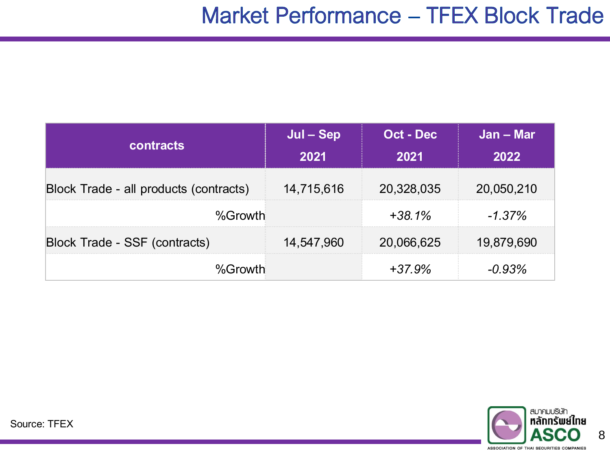| <b>contracts</b>                       | Jul – Sep  | Oct - Dec  | Jan – Mar  |
|----------------------------------------|------------|------------|------------|
|                                        | 2021       | 2021       | 2022       |
| Block Trade - all products (contracts) | 14,715,616 | 20,328,035 | 20,050,210 |
| %Growth                                |            | $+38.1%$   | $-1.37\%$  |
| Block Trade - SSF (contracts)          | 14,547,960 | 20,066,625 | 19,879,690 |
| %Growth                                |            | $+37.9%$   | $-0.93\%$  |

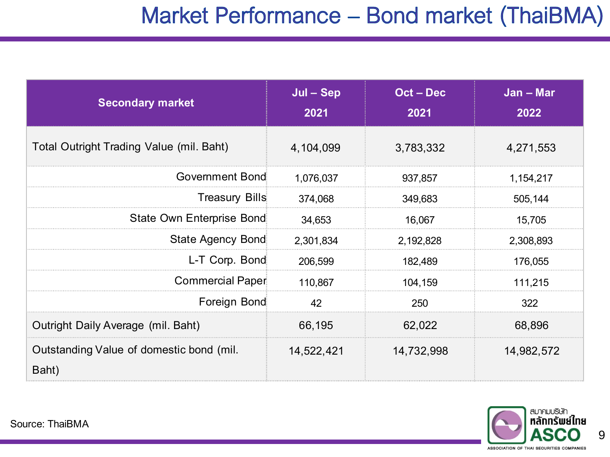#### Market Performance - Bond market (ThaiBMA)

| <b>Secondary market</b>                           | Jul – Sep<br>2021 | Oct-Dec<br>2021 | Jan - Mar<br>2022 |
|---------------------------------------------------|-------------------|-----------------|-------------------|
| Total Outright Trading Value (mil. Baht)          | 4,104,099         | 3,783,332       | 4,271,553         |
| Government Bond                                   | 1,076,037         | 937,857         | 1,154,217         |
| <b>Treasury Bills</b>                             | 374,068           | 349,683         | 505,144           |
| State Own Enterprise Bond                         | 34,653            | 16,067          | 15,705            |
| State Agency Bond                                 | 2,301,834         | 2,192,828       | 2,308,893         |
| L-T Corp Bond                                     | 206,599           | 182,489         | 176,055           |
| <b>Commercial Paper</b>                           | 110,867           | 104,159         | 111,215           |
| Foreign Bond                                      | 42                | 250             | 322               |
| Outright Daily Average (mil. Baht)                | 66,195            | 62,022          | 68,896            |
| Outstanding Value of domestic bond (mil.<br>Baht) | 14,522,421        | 14,732,998      | 14,982,572        |

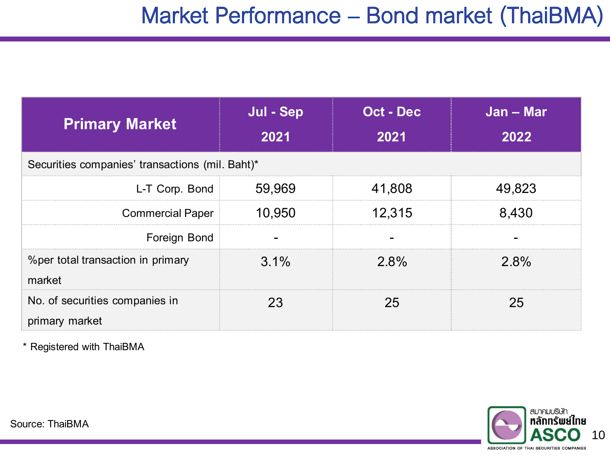#### Market Performance - Bond market (ThaiBMA)

| <b>Primary Market</b>                            | <b>Jul - Sep</b><br><b>The Company</b><br>2021 | Oct - Dec<br>2021 | Jan – Mar<br>2022 |
|--------------------------------------------------|------------------------------------------------|-------------------|-------------------|
| Securities companies' transactions (mil. Baht)*  |                                                |                   |                   |
| L-T Corp Bond                                    | 59,969                                         | 41,808            | 49,823            |
| <b>Commercial Paper</b>                          | 10,950                                         | 12,315            | 8,430             |
| Foreign Bond                                     |                                                |                   |                   |
| % per total transaction in primary<br>market     | $3.1\%$                                        | $2.8\%$           | $2.8\%$           |
| No. of securities companies in<br>primary market | 23                                             | 25                | 25                |

\* Registered with ThaiBMA

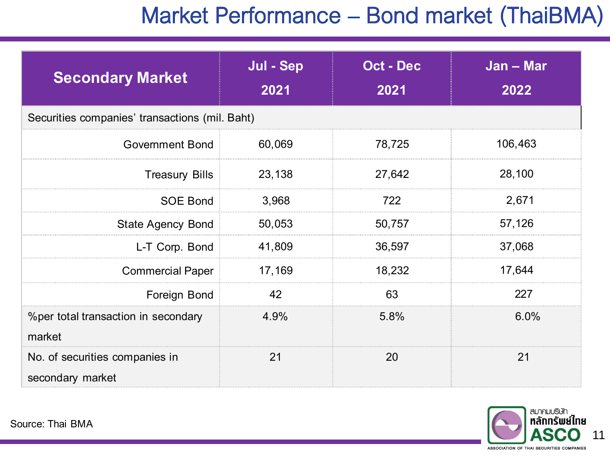#### Market Performance - Bond market (ThaiBMA)

| <b>Secondary Market</b>                            | Jul - Sep<br>2021 | <b>Oct - Dec</b><br>2021 | Jan - Mar<br>2022 |
|----------------------------------------------------|-------------------|--------------------------|-------------------|
| Securities companies' transactions (mil. Baht)     |                   |                          |                   |
| <b>Government Bond</b>                             | 60,069            | 78,725                   | 106,463           |
| <b>Treasury Bills</b>                              | 23,138            | 27,642                   | 28,100            |
| <b>SOE Bond</b>                                    | 3,968             | 722                      | 2,671             |
| <b>State Agency Bond</b>                           | 50,053            | 50,757                   | 57,126            |
| L-T Corp. Bond                                     | 41,809            | 36,597                   | 37,068            |
| <b>Commercial Paper</b>                            | 17,169            | 18,232                   | 17,644            |
| Foreign Bond                                       | 42                | 63                       | 227               |
| % per total transaction in secondary<br>market     | 4.9%              | 5.8%                     | $6.0\%$           |
| No. of securities companies in<br>secondary market | 21                | 20                       | 21                |

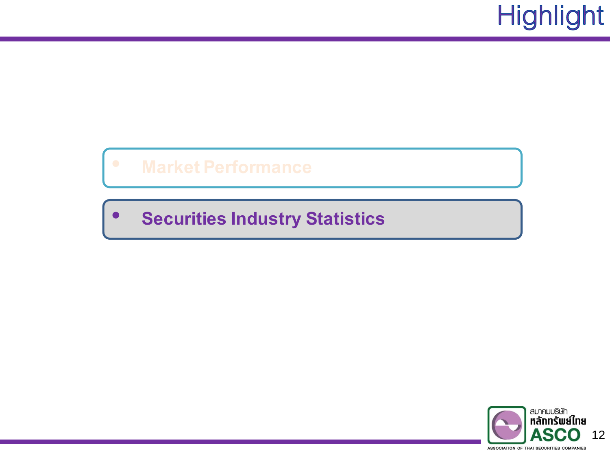# **Highlight**

#### • **Securities Industry Statistics**

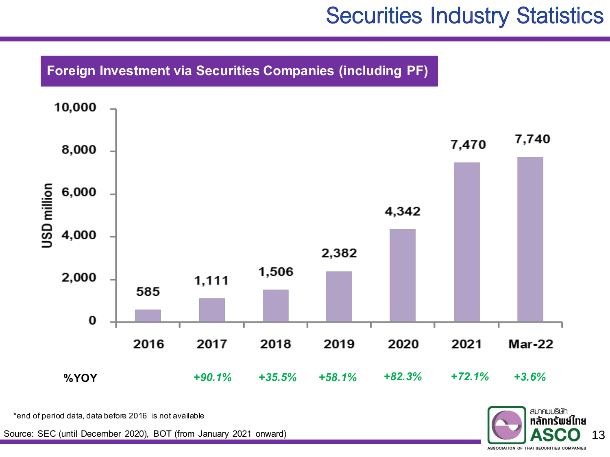**Foreign Investment via Securities Companies (including PF)**



\*end of period data, data before 2016 is not available

Source: SEC (until December 2020), BOT (from January 2021 onward) **13 13 13 13** 

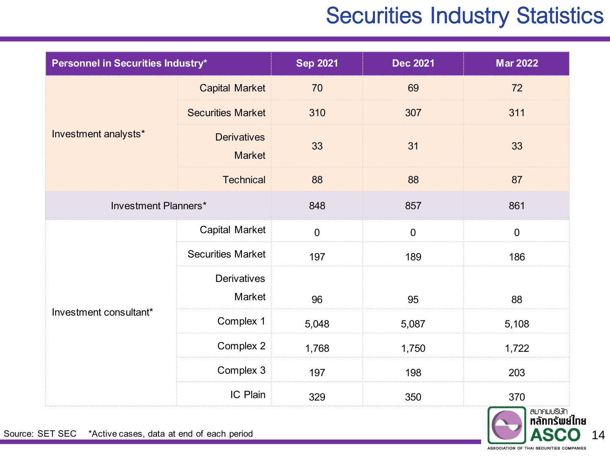| Personnel in Securities Industry* |                                     | <b>Sep 2021</b> | <b>Dec 2021</b> | <b>Mar 2022</b> |
|-----------------------------------|-------------------------------------|-----------------|-----------------|-----------------|
|                                   | <b>Capital Market</b>               | 70              | 69              | 72              |
|                                   | <b>Securities Market</b>            | 310             | 307             | 311             |
| Investment analysts*              | <b>Derivatives</b><br><b>Market</b> | 33              | 31              | 33              |
|                                   | <b>Technical</b>                    | 88              | 88              | 87              |
| Investment Planners*              |                                     | 848             | 857             | 861             |
|                                   | <b>Capital Market</b>               | $\mathbf 0$     | $\mathbf 0$     | $\overline{0}$  |
|                                   | <b>Securities Market</b>            | 197             | 189             | 186             |
| Investment consultant*            | <b>Derivatives</b><br>Market        | 96              | 95              | 88              |
|                                   | Complex 1                           | 5,048           | 5,087           | 5,108           |
|                                   | Complex 2                           | 1,768           | 1,750           | 1,722           |
|                                   | Complex 3                           | 197             | 198             | 203             |
|                                   | IC Plain                            | 329             | 350             | 370             |

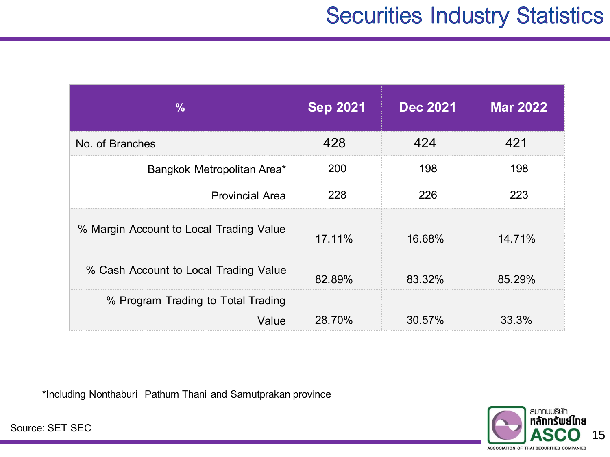| ℅                                           | <b>Sep 2021</b> | <b>Dec 2021</b> | <b>Mar 2022</b> |
|---------------------------------------------|-----------------|-----------------|-----------------|
| No. of Branches                             | 428             | 424             | 421             |
| Bangkok Metropolitan Area*                  | 200             | 198             | 198             |
| <b>Provincial Area</b>                      | 228             | 226             | 223             |
| % Margin Account to Local Trading Value     | 17.11%          | 16.68%          | 14.71%          |
| % Cash Account to Local Trading Value       | 82.89%          | 83.32%          | 85.29%          |
| % Program Trading to Total Trading<br>Value | 28.70%          | 30.57%          | 33.3%           |

\*Including Nonthaburi Pathum Thani and Samutprakan province



Source: SET SEC